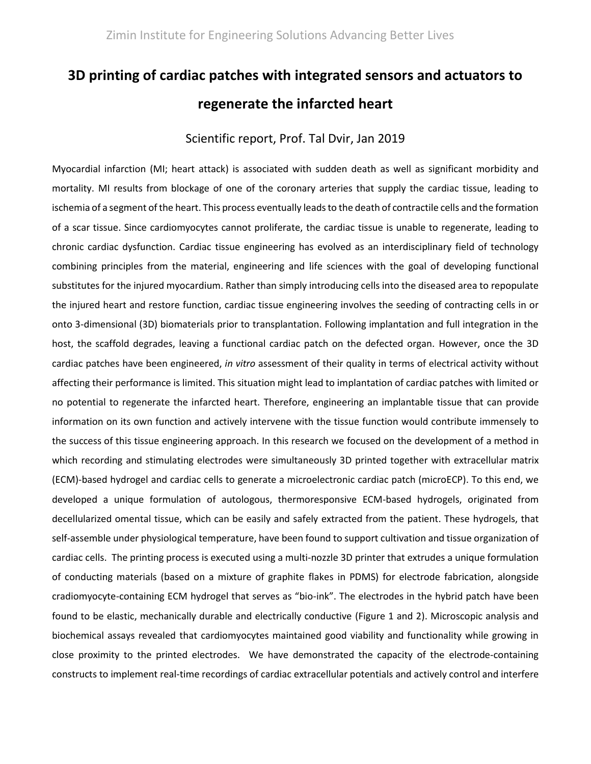## **3D printing of cardiac patches with integrated sensors and actuators to regenerate the infarcted heart**

## Scientific report, Prof. Tal Dvir, Jan 2019

Myocardial infarction (MI; heart attack) is associated with sudden death as well as significant morbidity and mortality. MI results from blockage of one of the coronary arteries that supply the cardiac tissue, leading to ischemia of a segment of the heart. This process eventually leads to the death of contractile cells and the formation of a scar tissue. Since cardiomyocytes cannot proliferate, the cardiac tissue is unable to regenerate, leading to chronic cardiac dysfunction. Cardiac tissue engineering has evolved as an interdisciplinary field of technology combining principles from the material, engineering and life sciences with the goal of developing functional substitutes for the injured myocardium. Rather than simply introducing cells into the diseased area to repopulate the injured heart and restore function, cardiac tissue engineering involves the seeding of contracting cells in or onto 3-dimensional (3D) biomaterials prior to transplantation. Following implantation and full integration in the host, the scaffold degrades, leaving a functional cardiac patch on the defected organ. However, once the 3D cardiac patches have been engineered, *in vitro* assessment of their quality in terms of electrical activity without affecting their performance is limited. This situation might lead to implantation of cardiac patches with limited or no potential to regenerate the infarcted heart. Therefore, engineering an implantable tissue that can provide information on its own function and actively intervene with the tissue function would contribute immensely to the success of this tissue engineering approach. In this research we focused on the development of a method in which recording and stimulating electrodes were simultaneously 3D printed together with extracellular matrix (ECM)-based hydrogel and cardiac cells to generate a microelectronic cardiac patch (microECP). To this end, we developed a unique formulation of autologous, thermoresponsive ECM-based hydrogels, originated from decellularized omental tissue, which can be easily and safely extracted from the patient. These hydrogels, that self-assemble under physiological temperature, have been found to support cultivation and tissue organization of cardiac cells. The printing process is executed using a multi-nozzle 3D printer that extrudes a unique formulation of conducting materials (based on a mixture of graphite flakes in PDMS) for electrode fabrication, alongside cradiomyocyte-containing ECM hydrogel that serves as "bio-ink". The electrodes in the hybrid patch have been found to be elastic, mechanically durable and electrically conductive (Figure 1 and 2). Microscopic analysis and biochemical assays revealed that cardiomyocytes maintained good viability and functionality while growing in close proximity to the printed electrodes. We have demonstrated the capacity of the electrode-containing constructs to implement real-time recordings of cardiac extracellular potentials and actively control and interfere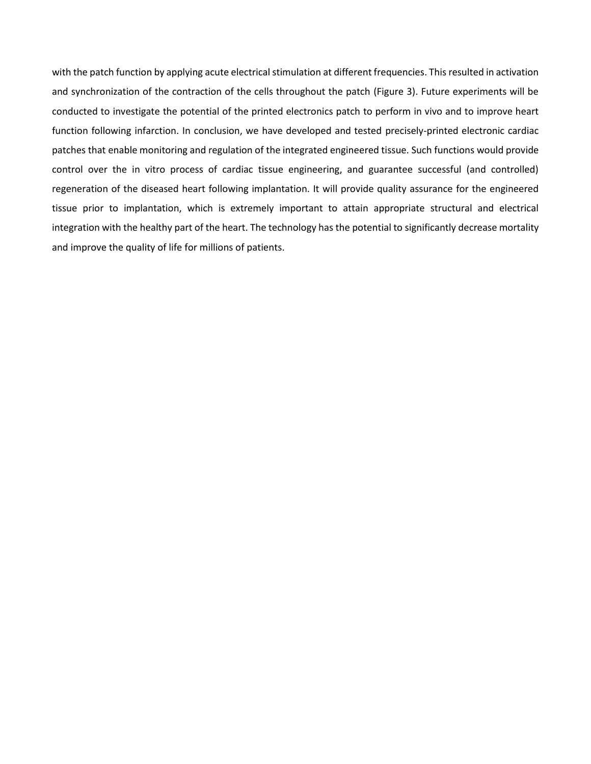with the patch function by applying acute electrical stimulation at different frequencies. This resulted in activation and synchronization of the contraction of the cells throughout the patch (Figure 3). Future experiments will be conducted to investigate the potential of the printed electronics patch to perform in vivo and to improve heart function following infarction. In conclusion, we have developed and tested precisely-printed electronic cardiac patches that enable monitoring and regulation of the integrated engineered tissue. Such functions would provide control over the in vitro process of cardiac tissue engineering, and guarantee successful (and controlled) regeneration of the diseased heart following implantation. It will provide quality assurance for the engineered tissue prior to implantation, which is extremely important to attain appropriate structural and electrical integration with the healthy part of the heart. The technology has the potential to significantly decrease mortality and improve the quality of life for millions of patients.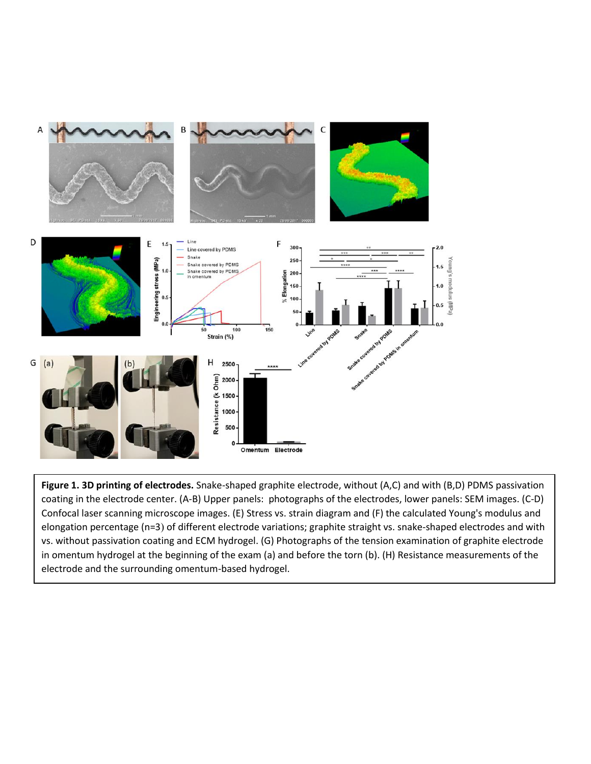

**Figure 1. 3D printing of electrodes.** Snake-shaped graphite electrode, without (A,C) and with (B,D) PDMS passivation coating in the electrode center. (A-B) Upper panels: photographs of the electrodes, lower panels: SEM images. (C-D) Confocal laser scanning microscope images. (E) Stress vs. strain diagram and (F) the calculated Young's modulus and elongation percentage (n=3) of different electrode variations; graphite straight vs. snake-shaped electrodes and with vs. without passivation coating and ECM hydrogel. (G) Photographs of the tension examination of graphite electrode in omentum hydrogel at the beginning of the exam (a) and before the torn (b). (H) Resistance measurements of the electrode and the surrounding omentum-based hydrogel.